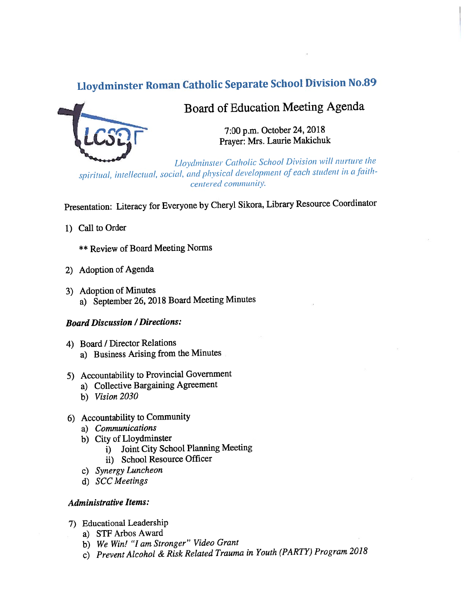# Lloydminster Roman Catholic Separate School Division No.89



## Board of Education Meeting Agenda

7:00 p.m. October 24, <sup>2018</sup> Prayer: Mrs. Laurie Makichuk

Lloydminster Catholic School Division will nurture the spiritual, intellectual, social, and physical development of each student in a faithcentered community.

Presentation: Literacy for Everyone by Cheryl Sikora, Library Resource Coordinator

- 1) Call to Order
	- \*\* Review of Board Meeting Norms
- 2) Adoption of Agenda
- 3) Adoption of Minutes a) September 26, <sup>2018</sup> Board Meeting Minutes

#### **Board Discussion / Directions:**

- 4) Board / Director Relations a) Business Arising from the Minutes
- 5) Accountability to Provincial Government
	- a) Collective Bargaining Agreement
	- b) Vision 2030
- 6) Accountability to Community
	- a) Communications
	- b) City of Lloydminster
		- 1) Joint City School Planning Meeting
		- ii) School Resource Officer
	- c) Synergy Luncheon
	- d) SCC Meetings

#### Administrative Items:

- 7) Educational Leadership
	- a) STF Arbos Award
	- b) We Win! "I am Stronger" Video Grant
	- c) Prevent Alcohol & Risk Related Trauma in Youth (PARTY,) Program <sup>2018</sup>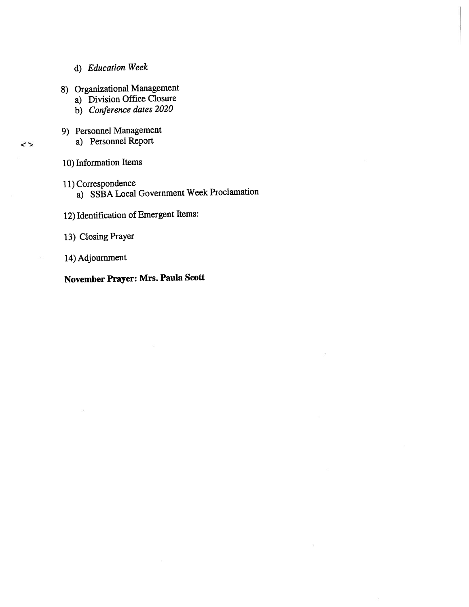- d) Education Week
- 8) Organizational Management
	- a) Division Office Closure
	- b) Conference dates <sup>2020</sup>
- 9) Personnel Management
	- a) Personnel Report
- 10) Information Items

 $\rightarrow$ 

- 11) Correspondence
	- a) SSBA Local Government Week Proclamation
- 12) Identification of Emergent Items:
- 13) Closing Prayer
- 14) Adjournment

### November Prayer: Mrs. Paula Scott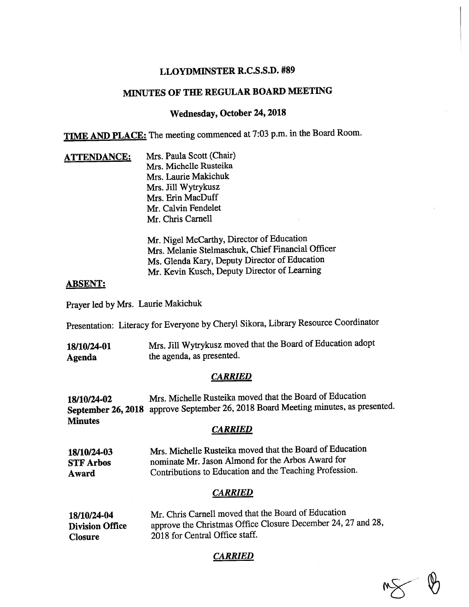#### LLOYDMINSTER R.C.S.S.D. #89

### MINUTES OF THE REGULAR BOARD MEETING

#### Wednesday, October 24, <sup>2018</sup>

TIME AND PLACE: The meeting commenced at 7:03 p.m. in the Board Room.

ATTENDANCE: Mrs. Paula Scott (Chair) Mrs. Michelle Rusteika Mrs. Laurie Makichuk Mrs. Jill Wytrykusz Mrs. Erin MacDuff Mr. Calvin Fendelet Mr. Chris Carnell

> Mr. Nigel McCarthy, Director of Education Mrs. Melanie \$telmaschuk, Chief financial Officer Ms. Glenda Kary, Deputy Director of Education Mr. Kevin Kusch, Deputy Director of Learning

#### ABSENT:

Prayer led by Mrs. Laurie Makichuk

Presentation: Literacy for Everyone by Cheryl Sikora, Library Resource Coordinator

18/10/24-01 Mrs. Jill Wytrykusz moved that the Board of Education adopt Agenda the agenda, as presented.

#### **CARRIED**

18/10/24-02 Mrs. Michelle Rusteika moved that the Board of Education September 26, <sup>2018</sup> approve September 26, <sup>2018</sup> Board Meeting minutes, as presented. **Minutes** 

#### **CARRIED**

18/10/24-03 Mrs. Michelle Rusteika moved that the Board of Education STF Arbos nominate Mr. Jason Almond for the Arbos Award for Award Contributions to Education and the Teaching Profession.

#### CARRIED

| 18/10/24-04            | Mr. Chris Carnell moved that the Board of Education          |
|------------------------|--------------------------------------------------------------|
| <b>Division Office</b> | approve the Christmas Office Closure December 24, 27 and 28, |
| <b>Closure</b>         | 2018 for Central Office staff.                               |

**CARRIED** 

 $M_{\odot}$